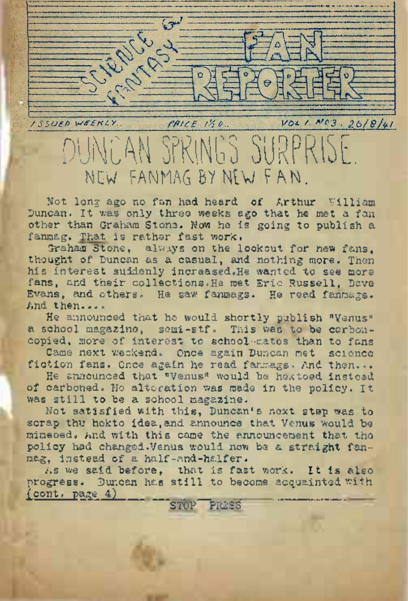

DUNCAN SPRINGS SURPRISE. NEW FANMAG BV NEW/ FAN.

Not long ago no fan had heard of Arthur William Duncan. It was only three weeks ago that he met a fan other than Graham Stone. Now he is going to publish a fanmag. That is rather fast work.

Graham Stone, always on the lookout for new fans, thought of Duncan as a casual, and nothing more. Then his interest suddenly increased. He wanted to see more fans, and their collections.He met Eric Russell, Dave Evans, and others. He saw fanmags. He read fanmags. And then....

He announced that he would shortly publish "Venus" a school magazine, semi-stf. This was to be carboncopied, more of interest to school-mates than to fans

Came next weekend. Once again Duncan met science fiction fans. Once again he read fanmags. And then...

He announced that "Venus" would be hektoed instead of carboned. No alteration was made in the policy. It was still' to be a school magazine.

Not satisfied with this, Duncan's next step was to scrap thu hekto idea, and announce that Venus would be mimeoed. And with this came the announcement that the policy had changed.Venus would now be a straight fanmag, instead of a half-and-halfer.

As we said before. that is fast work. It is also progress. Duncan has still to become acquainted with  $($  cont. page  $4)$ STOP PRESS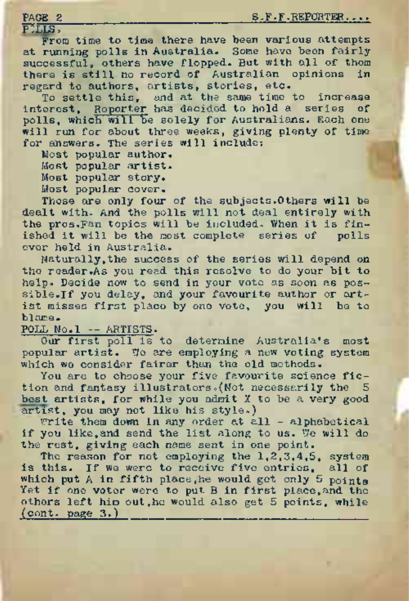PILLS,<br>From time to time there have been various attempts From time to time there have been various attempts at running polls in Australia. Some have been fairly successful<sup>s</sup> others have flopped. But with all of them there is still no record of Australian opinions in regard to authors, artists, stories, etc.

To settle this, and at the same time to increase interest, Reporter has decided to hold a series of polls, which will be solely for Australians. Each one will run for about three weeks, giving plenty of time for answers. The series will include:

Most popular author.

Most popular artist.

Most popular story.

Most popular cover.

Those are only four of the subjects.Others will be dealt with. And the polls will not deal entirely with the pros.Fan topics will be included. When it is finished it will be the most complete series of polls ever held in Australia.

Naturally,the success of the series will depend on the reader.As you read this resolve to do your bit to help. Decide now to send in your vote as soon as possible. If you delay, and your favourite author or artist misses first place by one vote, you will be to blame.

POLL No.l -- ARTISTS.

Our first poll is to determine Australia's most popular artist. To are employing a new voting system which wo consider fairer than the old methods.

You are to choose your five favourite science fiction and fantasy illustrators. (Not necessarily the 5 best artists, for while you admit X to be a very good artist, you may not like his style.)

Write them down in any order at all - alphabetical if you like,and send the list along to us. We will do the rest, giving each name sent in one point.

The reason for not employing the 1,2,3,4,5, system is this. If we were to receive five entries, all of which put A in fifth place, he would get only 5 points Yet if one voter were to put B in first place, and the others left him out,he would also get 5 points, while (cont. page 3.)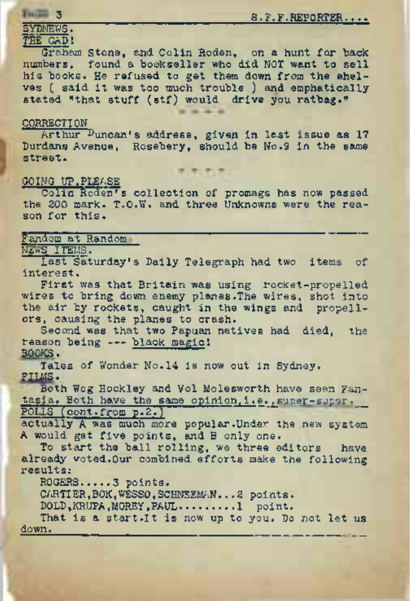# 3\_\_\_\_\_\_\_\_\_\_\_\_\_\_\_\_\_\_\_\_\_\_\_\_\_\_\_\_\_\_\_S.F.F.REPORTER....

# SYDNEWS.

# THE CAD<sup>I</sup>

Graham Stone, and Colin Roden, on a hunt for back numbers, found a bookseller who did NOT want to sell his books. He refused to get them down from the shelves ( said it was too much trouble ) and emphatically stated "that stuff (stf) would drive you ratbag."

## **CORRECTION**

Arthur Duncan's address, given in last issue as 17 Durdans Avenue, Rosebery, should be No.9 in the same street.

## GOING UP,PLEASE

Colin Roden's collection of promags has now passed<br>the 200 mark. T.O.W. and three Unknowns were the reason for this.<br>Fandom at Random the 200 mark. T.O.W. and three Unknowns were the reason for this.

## NEWS ITEMS.

Last Saturday's Daily Telegraph had two items of interest.

First was that Britain was using rocket-propelled wires to bring down enemy planes. The wires, shot into the air by rockets, caught in the wings and propellers, causing the planes to crash.

Second was that two Papuan natives had died, the reason being -- black magic! BOOKS.

Tales of Wonder No.14 is now out in Sydney. FILMS.

Both Wog Hockley and Vol Molesworth have seen Fantasia. Both have the same opinion, i.e., super-super. POLLS'(cont.from p.2.)

actually A was much more popular.Under the new system A would get five points, and B only one.

To start the ball rolling, we three editors have already voted.Our combined efforts make the following results:

ROGERS.,...3 points.

CARTIER,BOK,WESSO,SCHNEEMAN.. .2 points.

DOLD,KRUPA,MOREY,PAUL........ 1 point.

That is a <start.lt> is now up to you. Do not let us down.